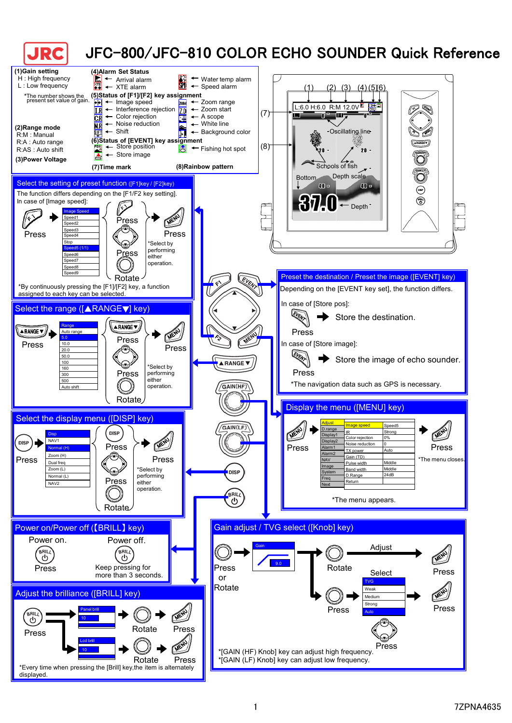